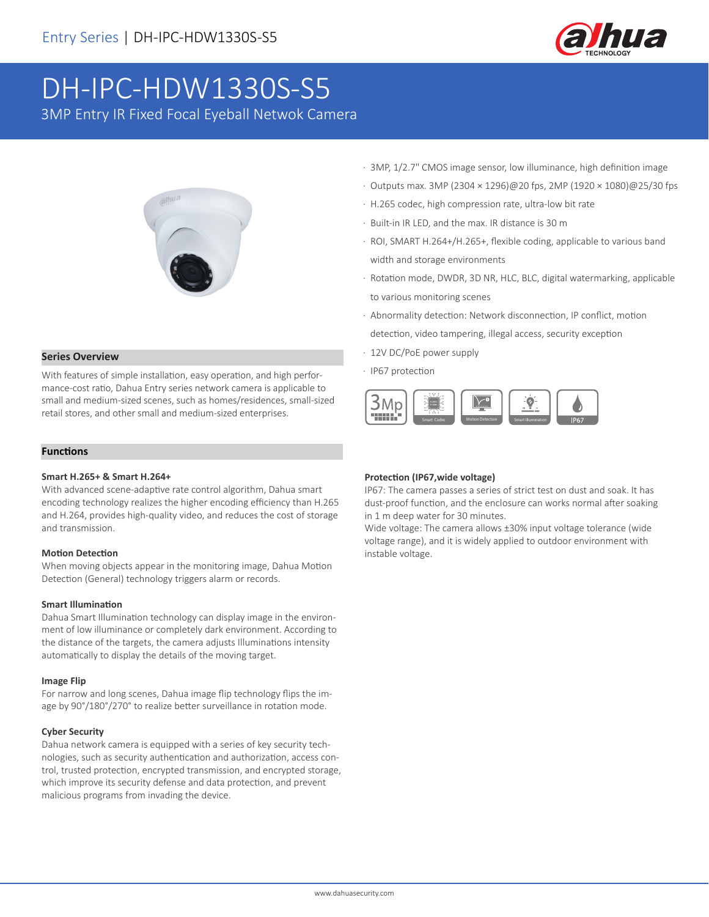

# DH-IPC-HDW1330S-S5

3MP Entry IR Fixed Focal Eyeball Netwok Camera



#### **Series Overview**

With features of simple installation, easy operation, and high performance-cost ratio, Dahua Entry series network camera is applicable to small and medium-sized scenes, such as homes/residences, small-sized retail stores, and other small and medium-sized enterprises.

#### **Functions**

#### **Smart H.265+ & Smart H.264+**

With advanced scene-adaptive rate control algorithm, Dahua smart encoding technology realizes the higher encoding efficiency than H.265 and H.264, provides high-quality video, and reduces the cost of storage and transmission.

#### **Motion Detection**

When moving objects appear in the monitoring image, Dahua Motion Detection (General) technology triggers alarm or records.

#### **Smart Illumination**

Dahua Smart Illumination technology can display image in the environment of low illuminance or completely dark environment. According to the distance of the targets, the camera adjusts Illuminations intensity automatically to display the details of the moving target.

#### **Image Flip**

For narrow and long scenes, Dahua image flip technology flips the image by 90°/180°/270° to realize better surveillance in rotation mode.

#### **Cyber Security**

Dahua network camera is equipped with a series of key security technologies, such as security authentication and authorization, access control, trusted protection, encrypted transmission, and encrypted storage, which improve its security defense and data protection, and prevent malicious programs from invading the device.

- · 3MP, 1/2.7" CMOS image sensor, low illuminance, high definition image
- · Outputs max. 3MP (2304 × 1296)@20 fps, 2MP (1920 × 1080)@25/30 fps
- · H.265 codec, high compression rate, ultra-low bit rate
- · Built-in IR LED, and the max. IR distance is 30 m
- · ROI, SMART H.264+/H.265+, flexible coding, applicable to various band width and storage environments
- · Rotation mode, DWDR, 3D NR, HLC, BLC, digital watermarking, applicable to various monitoring scenes
- · Abnormality detection: Network disconnection, IP conflict, motion detection, video tampering, illegal access, security exception
- · 12V DC/PoE power supply
- · IP67 protection



#### **Protection (IP67,wide voltage)**

IP67: The camera passes a series of strict test on dust and soak. It has dust-proof function, and the enclosure can works normal after soaking in 1 m deep water for 30 minutes.

Wide voltage: The camera allows ±30% input voltage tolerance (wide voltage range), and it is widely applied to outdoor environment with instable voltage.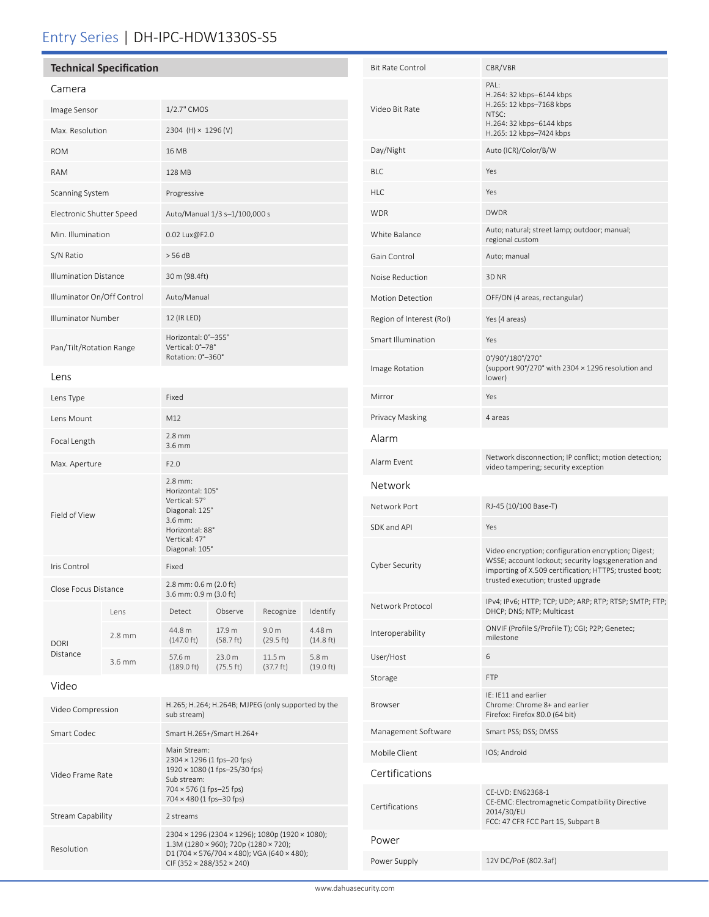# Entry Series | DH-IPC-HDW1330S-S5

| <b>Technical Specification</b> |                    |                                                                                                                                   |                               |                               |                                         |  |
|--------------------------------|--------------------|-----------------------------------------------------------------------------------------------------------------------------------|-------------------------------|-------------------------------|-----------------------------------------|--|
| Camera                         |                    |                                                                                                                                   |                               |                               |                                         |  |
| Image Sensor                   |                    | 1/2.7" CMOS                                                                                                                       |                               |                               |                                         |  |
| Max. Resolution                |                    | 2304 (H) × 1296 (V)                                                                                                               |                               |                               |                                         |  |
| <b>ROM</b>                     |                    | 16 MB                                                                                                                             |                               |                               |                                         |  |
| <b>RAM</b>                     |                    | 128 MB                                                                                                                            |                               |                               |                                         |  |
| Scanning System                |                    | Progressive                                                                                                                       |                               |                               |                                         |  |
| Electronic Shutter Speed       |                    | Auto/Manual 1/3 s-1/100,000 s                                                                                                     |                               |                               |                                         |  |
| Min. Illumination              |                    | 0.02 Lux@F2.0                                                                                                                     |                               |                               |                                         |  |
| S/N Ratio                      |                    | > 56 dB                                                                                                                           |                               |                               |                                         |  |
| <b>Illumination Distance</b>   |                    | 30 m (98.4ft)                                                                                                                     |                               |                               |                                         |  |
| Illuminator On/Off Control     |                    | Auto/Manual                                                                                                                       |                               |                               |                                         |  |
| <b>Illuminator Number</b>      |                    | 12 (IR LED)                                                                                                                       |                               |                               |                                         |  |
| Pan/Tilt/Rotation Range        |                    | Horizontal: 0°-355°<br>Vertical: 0°-78°<br>Rotation: 0°-360°                                                                      |                               |                               |                                         |  |
| Lens                           |                    |                                                                                                                                   |                               |                               |                                         |  |
| Lens Type                      |                    | Fixed                                                                                                                             |                               |                               |                                         |  |
| Lens Mount                     |                    | M12                                                                                                                               |                               |                               |                                         |  |
| Focal Length                   |                    | $2.8$ mm<br>$3.6$ mm                                                                                                              |                               |                               |                                         |  |
| Max. Aperture                  |                    | F2.0                                                                                                                              |                               |                               |                                         |  |
| Field of View                  |                    | $2.8$ mm:<br>Horizontal: 105°<br>Vertical: 57°<br>Diagonal: 125°<br>3.6 mm:<br>Horizontal: 88°<br>Vertical: 47°<br>Diagonal: 105° |                               |                               |                                         |  |
| Iris Control                   |                    | Fixed                                                                                                                             |                               |                               |                                         |  |
| Close Focus Distance           |                    | 2.8 mm: 0.6 m (2.0 ft)<br>3.6 mm: 0.9 m (3.0 ft)                                                                                  |                               |                               |                                         |  |
| DORI<br>Distance               | Lens               | Detect                                                                                                                            | Observe                       | Recognize                     | Identify                                |  |
|                                | $2.8 \, \text{mm}$ | 44.8 m<br>$(147.0 \text{ ft})$                                                                                                    | 17.9 m<br>$(58.7 \text{ ft})$ | 9.0 <sub>m</sub><br>(29.5 ft) | 4.48 m<br>$(14.8 \text{ ft})$           |  |
|                                | 3.6 mm             | 57.6 m<br>$(189.0 \text{ ft})$                                                                                                    | 23.0 m<br>(75.5 ft)           | 11.5 m<br>(37.7 ft)           | 5.8 <sub>m</sub><br>$(19.0 \text{ ft})$ |  |
| Video                          |                    |                                                                                                                                   |                               |                               |                                         |  |

Video Compression H.265; H.264; H.264B; MJPEG (only supported by the sub stream)

Main Stream:

Sub stream: 704 × 576 (1 fps–25 fps) 704 × 480 (1 fps–30 fps)

2304 × 1296 (1 fps–20 fps) 1920 × 1080 (1 fps–25/30 fps)

CIF (352 × 288/352 × 240)

2304 × 1296 (2304 × 1296); 1080p (1920 × 1080); 1.3M (1280 × 960); 720p (1280 × 720); D1 (704 × 576/704 × 480); VGA (640 × 480);

Smart Codec Smart H.265+/Smart H.264+

Stream Capability 2 streams

Video Frame Rate

Resolution

# Video Bit Rate PAL: H.264: 32 kbps–6144 kbps H.265: 12 kbps–7168 kbps NTSC: H.264: 32 kbps–6144 kbps H.265: 12 kbps–7424 kbps Day/Night Auto (ICR)/Color/B/W BLC Yes HLC Yes WDR DWDR DWDR White Balance Auto; natural; street lamp; outdoor; manual; regional custom Gain Control **Auto**; manual Noise Reduction 3D NR Motion Detection OFF/ON (4 areas, rectangular) Region of Interest (RoI) Yes (4 areas) Smart Illumination Yes Image Rotation 0°/90°/180°/270° (support 90°/270° with 2304 × 1296 resolution and lower) Mirror Yes Privacy Masking 4 areas Alarm Alarm Event Network disconnection; IP conflict; motion detection; video tampering; security exception Network Network Port RJ-45 (10/100 Base-T) SDK and API Yes Cyber Security Video encryption; configuration encryption; Digest; WSSE; account lockout; security logs;generation and importing of X.509 certification; HTTPS; trusted boot; trusted execution; trusted upgrade Network Protocol IPv4; IPv6; HTTP; TCP; UDP; ARP; RTP; RTSP; SMTP; FTP; DHCP; DNS; NTP; Multicast Interoperability ONVIF (Profile S/Profile T); CGI; P2P; Genetec; milestone User/Host 6 Storage FTP Browser IE: IE11 and earlier Chrome: Chrome 8+ and earlier Firefox: Firefox 80.0 (64 bit) Management Software Smart PSS; DSS; DMSS Mobile Client IOS; Android Certifications Certifications CE-LVD: EN62368-1 CE-EMC: Electromagnetic Compatibility Directive 2014/30/EU FCC: 47 CFR FCC Part 15, Subpart B Power Power Supply 12V DC/PoE (802.3af)

Bit Rate Control CBR/VBR